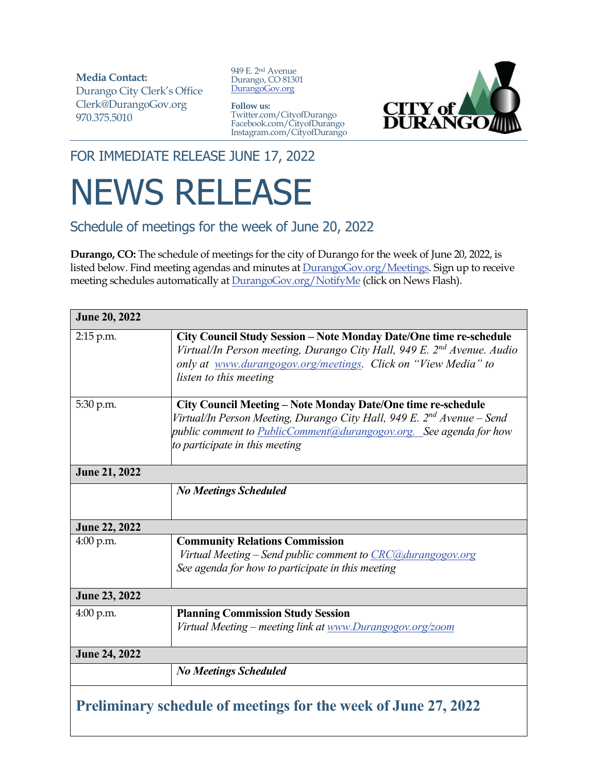**Media Contact:**  Durango City Clerk's Office Clerk@DurangoGov.org 970.375.5010

949 E. 2nd Avenue Durango, CO 81301 DurangoGov.org

## **Follow us:** Twitter.com/CityofDurango Facebook.com/CityofDurango Instagram.com/CityofDurango



FOR IMMEDIATE RELEASE JUNE 17, 2022

## NEWS RELEASE

Schedule of meetings for the week of June 20, 2022

**Durango, CO:** The schedule of meetings for the city of Durango for the week of June 20, 2022, is listed below. Find meeting agendas and minutes at **DurangoGov.org/Meetings**. Sign up to receive meeting schedules automatically at **DurangoGov.org/NotifyMe** (click on News Flash).

| <b>June 20, 2022</b>                                           |                                                                                                                                                                                                                                                            |
|----------------------------------------------------------------|------------------------------------------------------------------------------------------------------------------------------------------------------------------------------------------------------------------------------------------------------------|
| 2:15 p.m.                                                      | City Council Study Session - Note Monday Date/One time re-schedule<br>Virtual/In Person meeting, Durango City Hall, 949 E. 2 <sup>nd</sup> Avenue. Audio<br>only at www.durangogov.org/meetings. Click on "View Media" to<br>listen to this meeting        |
| 5:30 p.m.                                                      | City Council Meeting - Note Monday Date/One time re-schedule<br>Virtual/In Person Meeting, Durango City Hall, 949 E. 2 <sup>nd</sup> Avenue – Send<br>public comment to PublicComment@durangogov.org. See agenda for how<br>to participate in this meeting |
| <b>June 21, 2022</b>                                           |                                                                                                                                                                                                                                                            |
|                                                                | <b>No Meetings Scheduled</b>                                                                                                                                                                                                                               |
| <b>June 22, 2022</b>                                           |                                                                                                                                                                                                                                                            |
| $4:00$ p.m.                                                    | <b>Community Relations Commission</b><br>Virtual Meeting – Send public comment to CRC@durangogov.org<br>See agenda for how to participate in this meeting                                                                                                  |
| <b>June 23, 2022</b>                                           |                                                                                                                                                                                                                                                            |
| 4:00 p.m.                                                      | <b>Planning Commission Study Session</b><br>Virtual Meeting – meeting link at www.Durangogov.org/zoom                                                                                                                                                      |
| <b>June 24, 2022</b>                                           |                                                                                                                                                                                                                                                            |
|                                                                | <b>No Meetings Scheduled</b>                                                                                                                                                                                                                               |
| Preliminary schedule of meetings for the week of June 27, 2022 |                                                                                                                                                                                                                                                            |